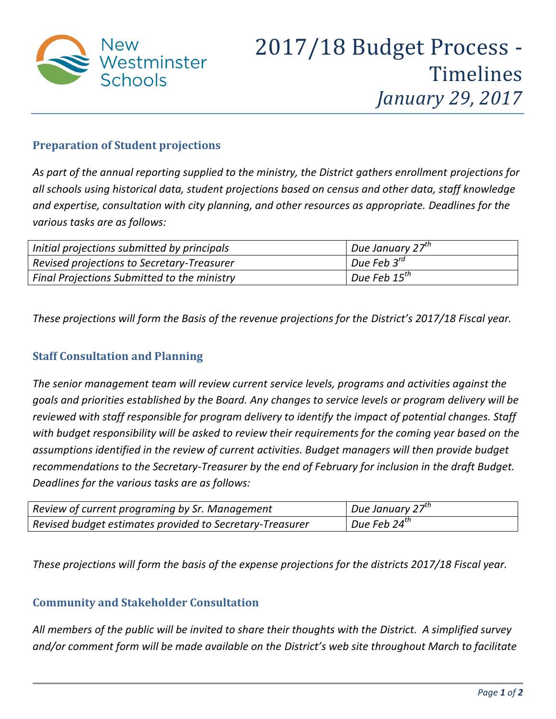

## **Preparation of Student projections**

*As part of the annual reporting supplied to the ministry, the District gathers enrollment projections for all schools using historical data, student projections based on census and other data, staff knowledge and expertise, consultation with city planning, and other resources as appropriate. Deadlines for the various tasks are as follows:*

| Initial projections submitted by principals        | Due January 27 $^{th}$   |
|----------------------------------------------------|--------------------------|
| Revised projections to Secretary-Treasurer         | Due Feb $3^{rd}$         |
| <b>Final Projections Submitted to the ministry</b> | Due Feb 15 <sup>th</sup> |

*These projections will form the Basis of the revenue projections for the District's 2017/18 Fiscal year.* 

### **Staff Consultation and Planning**

*The senior management team will review current service levels, programs and activities against the goals and priorities established by the Board. Any changes to service levels or program delivery will be reviewed with staff responsible for program delivery to identify the impact of potential changes. Staff with budget responsibility will be asked to review their requirements for the coming year based on the assumptions identified in the review of current activities. Budget managers will then provide budget recommendations to the Secretary-Treasurer by the end of February for inclusion in the draft Budget. Deadlines for the various tasks are as follows:*

| Review of current programing by Sr. Management           | Due January 27 $^{th}$ |
|----------------------------------------------------------|------------------------|
| Revised budget estimates provided to Secretary-Treasurer | Due Feb 24 $th$        |

*These projections will form the basis of the expense projections for the districts 2017/18 Fiscal year.* 

#### **Community and Stakeholder Consultation**

*All members of the public will be invited to share their thoughts with the District. A simplified survey and/or comment form will be made available on the District's web site throughout March to facilitate*